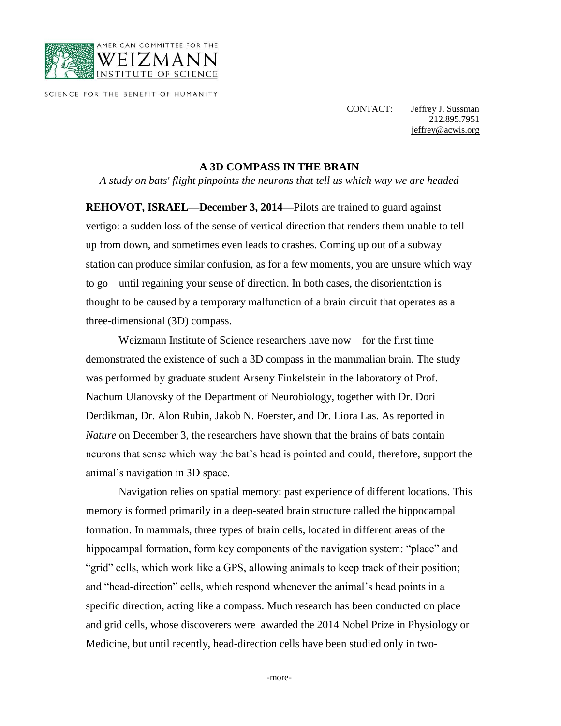

SCIENCE FOR THE BENEFIT OF HUMANITY

CONTACT: Jeffrey J. Sussman 212.895.7951

[jeffrey@acwis.org](mailto:jeffrey@acwis.org)

## **A 3D COMPASS IN THE BRAIN**

*A study on bats' flight pinpoints the neurons that tell us which way we are headed*

**REHOVOT, ISRAEL—December 3, 2014—**Pilots are trained to guard against vertigo: a sudden loss of the sense of vertical direction that renders them unable to tell up from down, and sometimes even leads to crashes. Coming up out of a subway station can produce similar confusion, as for a few moments, you are unsure which way to go – until regaining your sense of direction. In both cases, the disorientation is thought to be caused by a temporary malfunction of a brain circuit that operates as a three-dimensional (3D) compass.

Weizmann Institute of Science researchers have now – for the first time – demonstrated the existence of such a 3D compass in the mammalian brain. The study was performed by graduate student Arseny Finkelstein in the laboratory of Prof. Nachum Ulanovsky of the Department of Neurobiology, together with Dr. Dori Derdikman, Dr. Alon Rubin, Jakob N. Foerster, and Dr. Liora Las. As reported in *Nature* on December 3, the researchers have shown that the brains of bats contain neurons that sense which way the bat's head is pointed and could, therefore, support the animal's navigation in 3D space.

Navigation relies on spatial memory: past experience of different locations. This memory is formed primarily in a deep-seated brain structure called the hippocampal formation. In mammals, three types of brain cells, located in different areas of the hippocampal formation, form key components of the navigation system: "place" and "grid" cells, which work like a GPS, allowing animals to keep track of their position; and "head-direction" cells, which respond whenever the animal's head points in a specific direction, acting like a compass. Much research has been conducted on place and grid cells, whose discoverers were awarded the 2014 Nobel Prize in Physiology or Medicine, but until recently, head-direction cells have been studied only in two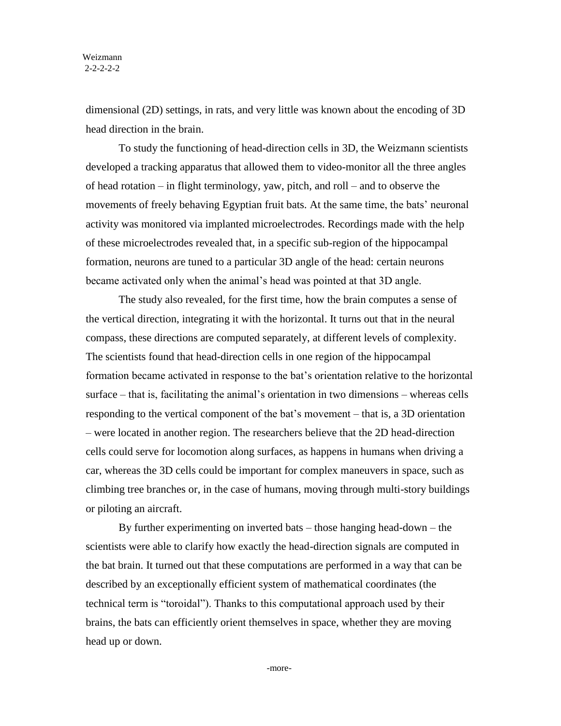dimensional (2D) settings, in rats, and very little was known about the encoding of 3D head direction in the brain.

To study the functioning of head-direction cells in 3D, the Weizmann scientists developed a tracking apparatus that allowed them to video-monitor all the three angles of head rotation – in flight terminology, yaw, pitch, and roll – and to observe the movements of freely behaving Egyptian fruit bats. At the same time, the bats' neuronal activity was monitored via implanted microelectrodes. Recordings made with the help of these microelectrodes revealed that, in a specific sub-region of the hippocampal formation, neurons are tuned to a particular 3D angle of the head: certain neurons became activated only when the animal's head was pointed at that 3D angle.

The study also revealed, for the first time, how the brain computes a sense of the vertical direction, integrating it with the horizontal. It turns out that in the neural compass, these directions are computed separately, at different levels of complexity. The scientists found that head-direction cells in one region of the hippocampal formation became activated in response to the bat's orientation relative to the horizontal surface – that is, facilitating the animal's orientation in two dimensions – whereas cells responding to the vertical component of the bat's movement – that is, a 3D orientation – were located in another region. The researchers believe that the 2D head-direction cells could serve for locomotion along surfaces, as happens in humans when driving a car, whereas the 3D cells could be important for complex maneuvers in space, such as climbing tree branches or, in the case of humans, moving through multi-story buildings or piloting an aircraft.

By further experimenting on inverted bats – those hanging head-down – the scientists were able to clarify how exactly the head-direction signals are computed in the bat brain. It turned out that these computations are performed in a way that can be described by an exceptionally efficient system of mathematical coordinates (the technical term is "toroidal"). Thanks to this computational approach used by their brains, the bats can efficiently orient themselves in space, whether they are moving head up or down.